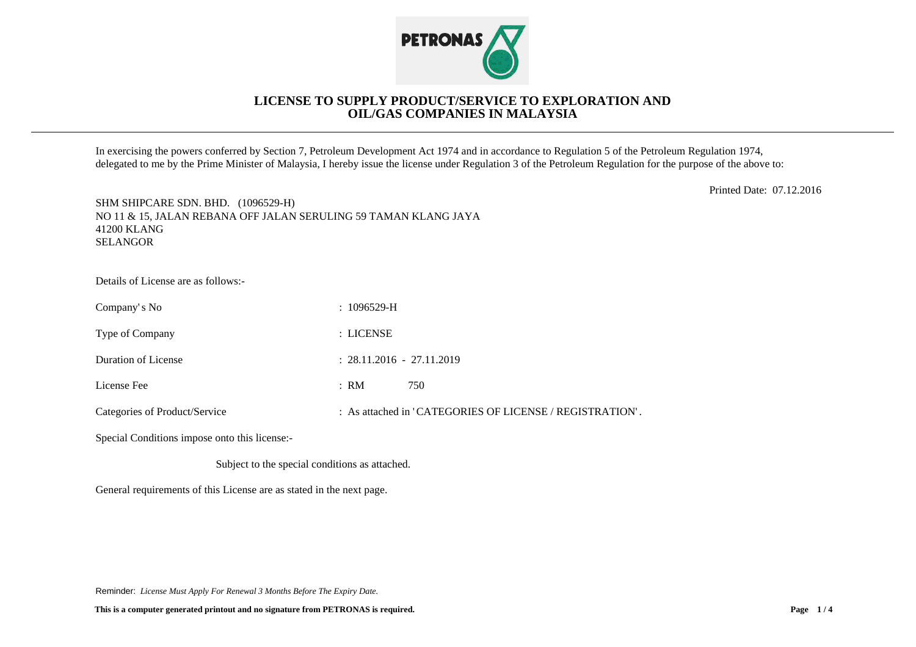

## **LICENSE TO SUPPLY PRODUCT/SERVICE TO EXPLORATION AND OIL/GAS COMPANIES IN MALAYSIA**

In exercising the powers conferred by Section 7, Petroleum Development Act 1974 and in accordance to Regulation 5 of the Petroleum Regulation 1974, delegated to me by the Prime Minister of Malaysia, I hereby issue the license under Regulation 3 of the Petroleum Regulation for the purpose of the above to:

Printed Date: 07.12.2016

SHM SHIPCARE SDN. BHD. (1096529-H) NO 11 & 15, JALAN REBANA OFF JALAN SERULING 59 TAMAN KLANG JAYA 41200 KLANG SELANGOR

Details of License are as follows:-

| Company's No                  | $: 1096529-H$                                            |
|-------------------------------|----------------------------------------------------------|
| Type of Company               | : LICENSE                                                |
| Duration of License           | $: 28.11.2016 - 27.11.2019$                              |
| License Fee                   | 750<br>: RM                                              |
| Categories of Product/Service | : As attached in 'CATEGORIES OF LICENSE / REGISTRATION'. |

Special Conditions impose onto this license:-

Subject to the special conditions as attached.

General requirements of this License are as stated in the next page.

Reminder: *License Must Apply For Renewal 3 Months Before The Expiry Date.*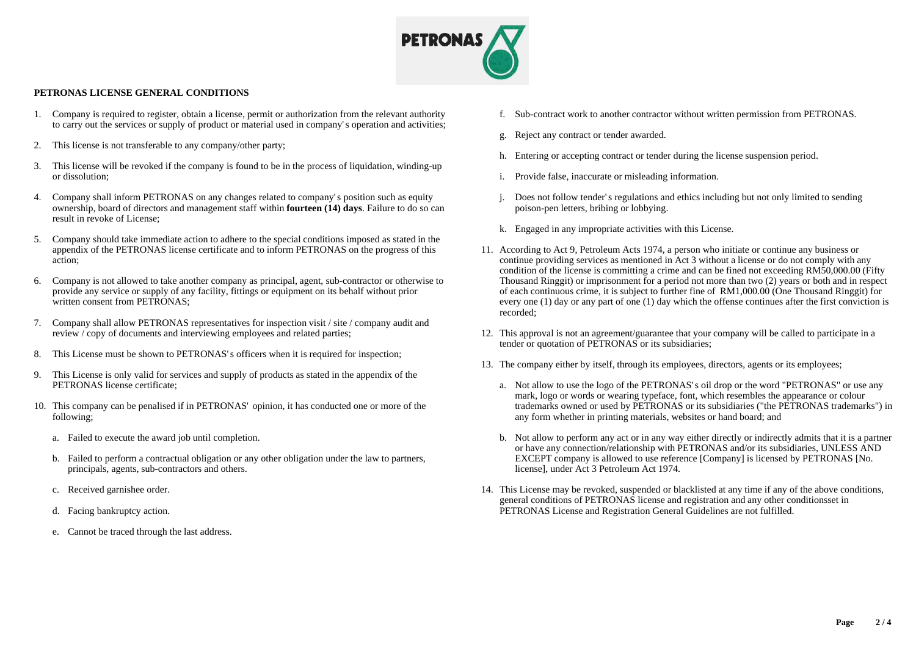

## **PETRONAS LICENSE GENERAL CONDITIONS**

- 1. Company is required to register, obtain a license, permit or authorization from the relevant authority to carry out the services or supply of product or material used in company's operation and activities;
- 2. This license is not transferable to any company/other party;
- 3. This license will be revoked if the company is found to be in the process of liquidation, winding-up or dissolution;
- 4. Company shall inform PETRONAS on any changes related to company's position such as equity ownership, board of directors and management staff within **fourteen (14) days**. Failure to do so can result in revoke of License;
- 5. Company should take immediate action to adhere to the special conditions imposed as stated in the appendix of the PETRONAS license certificate and to inform PETRONAS on the progress of this action;
- 6. Company is not allowed to take another company as principal, agent, sub-contractor or otherwise to provide any service or supply of any facility, fittings or equipment on its behalf without prior written consent from PETRONAS:
- 7. Company shall allow PETRONAS representatives for inspection visit / site / company audit and review / copy of documents and interviewing employees and related parties;
- 8. This License must be shown to PETRONAS's officers when it is required for inspection;
- 9. This License is only valid for services and supply of products as stated in the appendix of the PETRONAS license certificate;
- 10. This company can be penalised if in PETRONAS' opinion, it has conducted one or more of the following;
	- a. Failed to execute the award job until completion.
	- b. Failed to perform a contractual obligation or any other obligation under the law to partners, principals, agents, sub-contractors and others.
	- c. Received garnishee order.
	- d. Facing bankruptcy action.
	- e. Cannot be traced through the last address.
- f. Sub-contract work to another contractor without written permission from PETRONAS.
- g. Reject any contract or tender awarded.
- h. Entering or accepting contract or tender during the license suspension period.
- i. Provide false, inaccurate or misleading information.
- j. Does not follow tender's regulations and ethics including but not only limited to sending poison-pen letters, bribing or lobbying.
- k. Engaged in any impropriate activities with this License.
- 11. According to Act 9, Petroleum Acts 1974, a person who initiate or continue any business or continue providing services as mentioned in Act 3 without a license or do not comply with any condition of the license is committing a crime and can be fined not exceeding RM50,000.00 (Fifty Thousand Ringgit) or imprisonment for a period not more than two (2) years or both and in respect of each continuous crime, it is subject to further fine of RM1,000.00 (One Thousand Ringgit) for every one (1) day or any part of one (1) day which the offense continues after the first conviction is recorded;
- 12. This approval is not an agreement/guarantee that your company will be called to participate in a tender or quotation of PETRONAS or its subsidiaries;
- 13. The company either by itself, through its employees, directors, agents or its employees;
	- a. Not allow to use the logo of the PETRONAS's oil drop or the word "PETRONAS" or use any mark, logo or words or wearing typeface, font, which resembles the appearance or colour trademarks owned or used by PETRONAS or its subsidiaries ("the PETRONAS trademarks") in any form whether in printing materials, websites or hand board; and
	- b. Not allow to perform any act or in any way either directly or indirectly admits that it is a partner or have any connection/relationship with PETRONAS and/or its subsidiaries, UNLESS AND EXCEPT company is allowed to use reference [Company] is licensed by PETRONAS [No. license], under Act 3 Petroleum Act 1974.
- 14. This License may be revoked, suspended or blacklisted at any time if any of the above conditions, general conditions of PETRONAS license and registration and any other conditionsset in PETRONAS License and Registration General Guidelines are not fulfilled.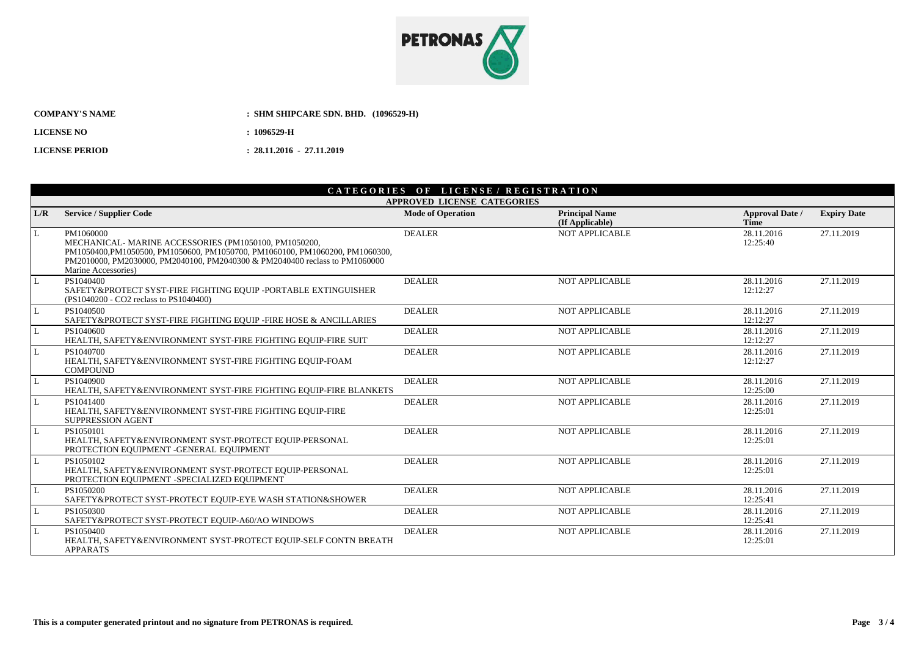

| <b>COMPANY'S NAME</b> | : SHM SHIPCARE SDN, BHD. (1096529-H) |
|-----------------------|--------------------------------------|
| <b>LICENSE NO</b>     | : 1096529-H                          |
| <b>LICENSE PERIOD</b> | $: 28.11.2016 - 27.11.2019$          |

## CATEGORIES OF LICENSE / REGISTRATION

|     | <b>APPROVED LICENSE CATEGORIES</b>                                                                                                                                                                                                                       |                          |                                          |                                |                    |  |  |  |
|-----|----------------------------------------------------------------------------------------------------------------------------------------------------------------------------------------------------------------------------------------------------------|--------------------------|------------------------------------------|--------------------------------|--------------------|--|--|--|
| L/R | <b>Service / Supplier Code</b>                                                                                                                                                                                                                           | <b>Mode of Operation</b> | <b>Principal Name</b><br>(If Applicable) | <b>Approval Date /</b><br>Time | <b>Expiry Date</b> |  |  |  |
| L   | PM1060000<br>MECHANICAL- MARINE ACCESSORIES (PM1050100, PM1050200,<br>PM1050400, PM1050500, PM1050600, PM1050700, PM1060100, PM1060200, PM1060300,<br>PM2010000, PM2030000, PM2040100, PM2040300 & PM2040400 reclass to PM1060000<br>Marine Accessories) | <b>DEALER</b>            | <b>NOT APPLICABLE</b>                    | 28.11.2016<br>12:25:40         | 27.11.2019         |  |  |  |
| L   | PS1040400<br>SAFETY&PROTECT SYST-FIRE FIGHTING EQUIP -PORTABLE EXTINGUISHER<br>(PS1040200 - CO2 reclass to PS1040400)                                                                                                                                    | <b>DEALER</b>            | <b>NOT APPLICABLE</b>                    | 28.11.2016<br>12:12:27         | 27.11.2019         |  |  |  |
| L   | PS1040500<br>SAFETY&PROTECT SYST-FIRE FIGHTING EQUIP -FIRE HOSE & ANCILLARIES                                                                                                                                                                            | <b>DEALER</b>            | <b>NOT APPLICABLE</b>                    | 28.11.2016<br>12:12:27         | 27.11.2019         |  |  |  |
| L   | PS1040600<br>HEALTH, SAFETY&ENVIRONMENT SYST-FIRE FIGHTING EQUIP-FIRE SUIT                                                                                                                                                                               | <b>DEALER</b>            | NOT APPLICABLE                           | 28.11.2016<br>12:12:27         | 27.11.2019         |  |  |  |
| L   | PS1040700<br>HEALTH, SAFETY&ENVIRONMENT SYST-FIRE FIGHTING EOUIP-FOAM<br><b>COMPOUND</b>                                                                                                                                                                 | <b>DEALER</b>            | NOT APPLICABLE                           | 28.11.2016<br>12:12:27         | 27.11.2019         |  |  |  |
| l L | PS1040900<br>HEALTH, SAFETY&ENVIRONMENT SYST-FIRE FIGHTING EOUIP-FIRE BLANKETS                                                                                                                                                                           | <b>DEALER</b>            | <b>NOT APPLICABLE</b>                    | 28.11.2016<br>12:25:00         | 27.11.2019         |  |  |  |
| L   | PS1041400<br>HEALTH, SAFETY&ENVIRONMENT SYST-FIRE FIGHTING EQUIP-FIRE<br><b>SUPPRESSION AGENT</b>                                                                                                                                                        | <b>DEALER</b>            | NOT APPLICABLE                           | 28.11.2016<br>12:25:01         | 27.11.2019         |  |  |  |
| L   | PS1050101<br>HEALTH, SAFETY&ENVIRONMENT SYST-PROTECT EQUIP-PERSONAL<br>PROTECTION EQUIPMENT -GENERAL EQUIPMENT                                                                                                                                           | <b>DEALER</b>            | <b>NOT APPLICABLE</b>                    | 28.11.2016<br>12:25:01         | 27.11.2019         |  |  |  |
| L   | PS1050102<br>HEALTH, SAFETY&ENVIRONMENT SYST-PROTECT EQUIP-PERSONAL<br>PROTECTION EQUIPMENT -SPECIALIZED EQUIPMENT                                                                                                                                       | <b>DEALER</b>            | <b>NOT APPLICABLE</b>                    | 28.11.2016<br>12:25:01         | 27.11.2019         |  |  |  |
| L   | PS1050200<br>SAFETY&PROTECT SYST-PROTECT EQUIP-EYE WASH STATION&SHOWER                                                                                                                                                                                   | <b>DEALER</b>            | <b>NOT APPLICABLE</b>                    | 28.11.2016<br>12:25:41         | 27.11.2019         |  |  |  |
| L   | PS1050300<br>SAFETY&PROTECT SYST-PROTECT EQUIP-A60/AO WINDOWS                                                                                                                                                                                            | <b>DEALER</b>            | <b>NOT APPLICABLE</b>                    | 28.11.2016<br>12:25:41         | 27.11.2019         |  |  |  |
| L   | PS1050400<br>HEALTH, SAFETY&ENVIRONMENT SYST-PROTECT EQUIP-SELF CONTN BREATH<br><b>APPARATS</b>                                                                                                                                                          | <b>DEALER</b>            | <b>NOT APPLICABLE</b>                    | 28.11.2016<br>12:25:01         | 27.11.2019         |  |  |  |